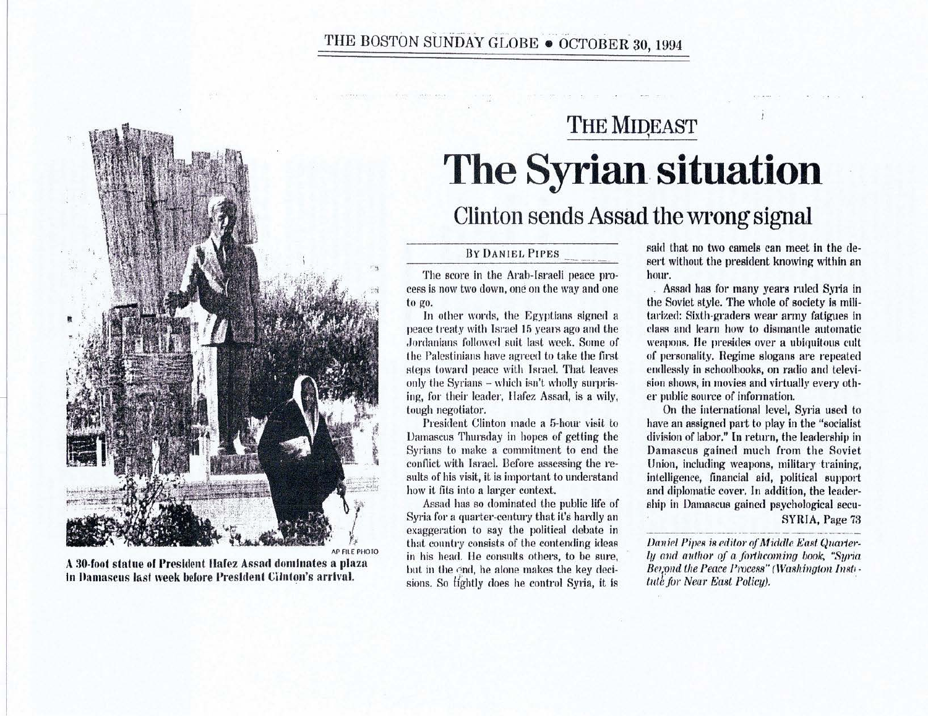## THE BOSTON SUNDAY GLOBE • OCTOBER 30, 1994



A 30-foot statue of President Hafez Assad dominates a plaza In Damascus last week before President Cilnton's arrival.

## THE MIDEAST The Syrian situation Clinton sends Assad the wrong signal

## BY DANIEL PIPES

The score in the Arab-Israeli peace process is now two down, one on the way and one to go.

In other words, the Egyptians signed a peace treaty with Israel 15 years ago and the Jordanians followed suit last week. Some of the Palestinians have agreed to take the first steps toward peace with Israel. That leaves only the Syrians - which isn't wholly surprising, for their leader, Hafez Assad, is a wily, tough negotiator.

President Clinton made a 5-hour visit to Damascus Thursday in hopes of getting the Syrians lo make a commitment to end the conflict with Israel. Before assessing the results of his visit, it is important to understand how it fits into a larger context.

Assad has so dominated the public life of Syria for a quarter-century that it's hardly an exaggeration to say the political debate in that country consists of the contending ideas in his head. He consults others, to be sure, but in the end, he alone makes the key decisions. So tightly does he control Syria, it Is said that no two camels can meet in the desert without the president knowing within an hour.

Assad has for many years ruled Syria in the Soviet style. The whole of society is militarized: Sixth-graders wear army fatiguea in class and learn how to dismantle automatic weapons. He presides over a ubiquitous cult of personality. Regime slogans are repeated endlessly in schoolbooks, on radio and television shows, in movies and virtually every other public source of information.

On the international level, Syria used to have an assigned part to play in the "socialist" division of labor." In return, the leadership in Damascus gained much from the Soviet Union, including weapons, military training, intelligence, financial aid, political support and diplomatic cover. In addition, the leadership in Damascus gained psychological secu-**SYRIA**, Page 73

*Daniel Pipes is editor of Middle East Quarter*ly a11d *author of a fmthcmning book, "Syria*  Beyond the Peace Process" (Washington Insti*tule for Near East Policy).*